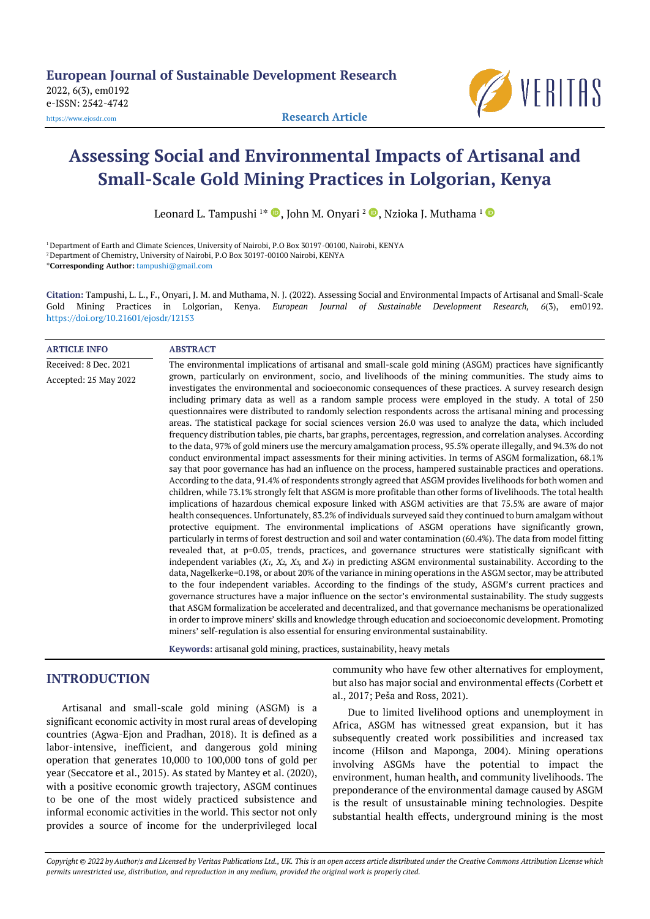

# **Assessing Social and Environmental Impacts of Artisanal and Small-Scale Gold Mining Practices in Lolgorian, Kenya**

Leonard L. Tampushi  $^{1*}$   $\textcolor{blue}\bullet$ [,](https://orcid.org/0000-0002-7289-6550) John M. Onyari  $^{2}$   $\textcolor{blue}\bullet$ , Nzioka J. Muthama  $^{1}$ 

<sup>1</sup> Department of Earth and Climate Sciences, University of Nairobi, P.O Box 30197-00100, Nairobi, KENYA <sup>2</sup> Department of Chemistry, University of Nairobi, P.O Box 30197-00100 Nairobi, KENYA

\***Corresponding Author:** [tampushi@gmail.com](mailto:tampushi@gmail.com)

**Citation:** Tampushi, L. L., F., Onyari, J. M. and Muthama, N. J. (2022). Assessing Social and Environmental Impacts of Artisanal and Small-Scale Gold Mining Practices in Lolgorian, Kenya. *European Journal of Sustainable Development Research, 6*(3), em0192. <https://doi.org/10.21601/ejosdr/12153>

#### **ARTICLE INFO ABSTRACT**

Received: 8 Dec. 2021 Accepted: 25 May 2022 The environmental implications of artisanal and small-scale gold mining (ASGM) practices have significantly grown, particularly on environment, socio, and livelihoods of the mining communities. The study aims to investigates the environmental and socioeconomic consequences of these practices. A survey research design including primary data as well as a random sample process were employed in the study. A total of 250 questionnaires were distributed to randomly selection respondents across the artisanal mining and processing areas. The statistical package for social sciences version 26.0 was used to analyze the data, which included frequency distribution tables, pie charts, bar graphs, percentages, regression, and correlation analyses. According to the data, 97% of gold miners use the mercury amalgamation process, 95.5% operate illegally, and 94.3% do not conduct environmental impact assessments for their mining activities. In terms of ASGM formalization, 68.1% say that poor governance has had an influence on the process, hampered sustainable practices and operations. According to the data, 91.4% of respondents strongly agreed that ASGM provides livelihoods for both women and children, while 73.1% strongly felt that ASGM is more profitable than other forms of livelihoods. The total health implications of hazardous chemical exposure linked with ASGM activities are that 75.5% are aware of major health consequences. Unfortunately, 83.2% of individuals surveyed said they continued to burn amalgam without protective equipment. The environmental implications of ASGM operations have significantly grown, particularly in terms of forest destruction and soil and water contamination (60.4%). The data from model fitting revealed that, at p=0.05, trends, practices, and governance structures were statistically significant with independent variables (*X1, X2, X3,* and *X4*) in predicting ASGM environmental sustainability. According to the data, Nagelkerke=0.198, or about 20% of the variance in mining operations in the ASGM sector, may be attributed to the four independent variables. According to the findings of the study, ASGM's current practices and governance structures have a major influence on the sector's environmental sustainability. The study suggests that ASGM formalization be accelerated and decentralized, and that governance mechanisms be operationalized in order to improve miners' skills and knowledge through education and socioeconomic development. Promoting miners' self-regulation is also essential for ensuring environmental sustainability.

**Keywords:** artisanal gold mining, practices, sustainability, heavy metals

# **INTRODUCTION**

Artisanal and small-scale gold mining (ASGM) is a significant economic activity in most rural areas of developing countries (Agwa-Ejon and Pradhan, 2018). It is defined as a labor-intensive, inefficient, and dangerous gold mining operation that generates 10,000 to 100,000 tons of gold per year (Seccatore et al., 2015). As stated by Mantey et al. (2020), with a positive economic growth trajectory, ASGM continues to be one of the most widely practiced subsistence and informal economic activities in the world. This sector not only provides a source of income for the underprivileged local

community who have few other alternatives for employment, but also has major social and environmental effects (Corbett et al., 2017; Peša and Ross, 2021).

Due to limited livelihood options and unemployment in Africa, ASGM has witnessed great expansion, but it has subsequently created work possibilities and increased tax income (Hilson and Maponga, 2004). Mining operations involving ASGMs have the potential to impact the environment, human health, and community livelihoods. The preponderance of the environmental damage caused by ASGM is the result of unsustainable mining technologies. Despite substantial health effects, underground mining is the most

Copyright @ 2022 by Author/s and Licensed by Veritas Publications Ltd., UK. This is an open access article distributed under the Creative Commons Attribution License which permits unrestricted use, distribution, and reproduction in any medium, provided the original work is properly cited.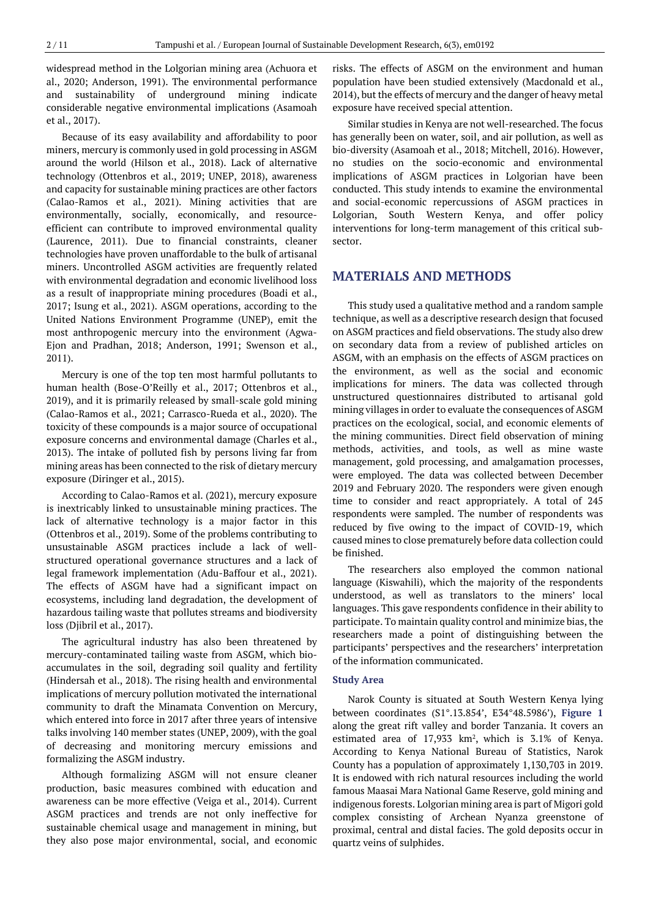widespread method in the Lolgorian mining area (Achuora et al., 2020; Anderson, 1991). The environmental performance and sustainability of underground mining indicate considerable negative environmental implications (Asamoah et al., 2017).

Because of its easy availability and affordability to poor miners, mercury is commonly used in gold processing in ASGM around the world (Hilson et al., 2018). Lack of alternative technology (Ottenbros et al., 2019; UNEP, 2018), awareness and capacity for sustainable mining practices are other factors (Calao-Ramos et al., 2021). Mining activities that are environmentally, socially, economically, and resourceefficient can contribute to improved environmental quality (Laurence, 2011). Due to financial constraints, cleaner technologies have proven unaffordable to the bulk of artisanal miners. Uncontrolled ASGM activities are frequently related with environmental degradation and economic livelihood loss as a result of inappropriate mining procedures (Boadi et al., 2017; Isung et al., 2021). ASGM operations, according to the United Nations Environment Programme (UNEP), emit the most anthropogenic mercury into the environment (Agwa-Ejon and Pradhan, 2018; Anderson, 1991; Swenson et al., 2011).

Mercury is one of the top ten most harmful pollutants to human health (Bose-O'Reilly et al., 2017; Ottenbros et al., 2019), and it is primarily released by small-scale gold mining (Calao-Ramos et al., 2021; Carrasco-Rueda et al., 2020). The toxicity of these compounds is a major source of occupational exposure concerns and environmental damage (Charles et al., 2013). The intake of polluted fish by persons living far from mining areas has been connected to the risk of dietary mercury exposure (Diringer et al., 2015).

According to Calao-Ramos et al. (2021), mercury exposure is inextricably linked to unsustainable mining practices. The lack of alternative technology is a major factor in this (Ottenbros et al., 2019). Some of the problems contributing to unsustainable ASGM practices include a lack of wellstructured operational governance structures and a lack of legal framework implementation (Adu-Baffour et al., 2021). The effects of ASGM have had a significant impact on ecosystems, including land degradation, the development of hazardous tailing waste that pollutes streams and biodiversity loss (Djibril et al., 2017).

The agricultural industry has also been threatened by mercury-contaminated tailing waste from ASGM, which bioaccumulates in the soil, degrading soil quality and fertility (Hindersah et al., 2018). The rising health and environmental implications of mercury pollution motivated the international community to draft the Minamata Convention on Mercury, which entered into force in 2017 after three years of intensive talks involving 140 member states (UNEP, 2009), with the goal of decreasing and monitoring mercury emissions and formalizing the ASGM industry.

Although formalizing ASGM will not ensure cleaner production, basic measures combined with education and awareness can be more effective (Veiga et al., 2014). Current ASGM practices and trends are not only ineffective for sustainable chemical usage and management in mining, but they also pose major environmental, social, and economic risks. The effects of ASGM on the environment and human population have been studied extensively (Macdonald et al., 2014), but the effects of mercury and the danger of heavy metal exposure have received special attention.

Similar studies in Kenya are not well-researched. The focus has generally been on water, soil, and air pollution, as well as bio-diversity (Asamoah et al., 2018; Mitchell, 2016). However, no studies on the socio-economic and environmental implications of ASGM practices in Lolgorian have been conducted. This study intends to examine the environmental and social-economic repercussions of ASGM practices in Lolgorian, South Western Kenya, and offer policy interventions for long-term management of this critical subsector.

# **MATERIALS AND METHODS**

This study used a qualitative method and a random sample technique, as well as a descriptive research design that focused on ASGM practices and field observations. The study also drew on secondary data from a review of published articles on ASGM, with an emphasis on the effects of ASGM practices on the environment, as well as the social and economic implications for miners. The data was collected through unstructured questionnaires distributed to artisanal gold mining villages in order to evaluate the consequences of ASGM practices on the ecological, social, and economic elements of the mining communities. Direct field observation of mining methods, activities, and tools, as well as mine waste management, gold processing, and amalgamation processes, were employed. The data was collected between December 2019 and February 2020. The responders were given enough time to consider and react appropriately. A total of 245 respondents were sampled. The number of respondents was reduced by five owing to the impact of COVID-19, which caused mines to close prematurely before data collection could be finished.

The researchers also employed the common national language (Kiswahili), which the majority of the respondents understood, as well as translators to the miners' local languages. This gave respondents confidence in their ability to participate. To maintain quality control and minimize bias, the researchers made a point of distinguishing between the participants' perspectives and the researchers' interpretation of the information communicated.

#### **Study Area**

Narok County is situated at South Western Kenya lying between coordinates (S1°.13.854', E34°48.5986'), **Figure 1** along the great rift valley and border Tanzania. It covers an estimated area of  $17,933$  km<sup>2</sup>, which is  $3.1\%$  of Kenya. According to Kenya National Bureau of Statistics, Narok County has a population of approximately 1,130,703 in 2019. It is endowed with rich natural resources including the world famous Maasai Mara National Game Reserve, gold mining and indigenous forests. Lolgorian mining area is part of Migori gold complex consisting of Archean Nyanza greenstone of proximal, central and distal facies. The gold deposits occur in quartz veins of sulphides.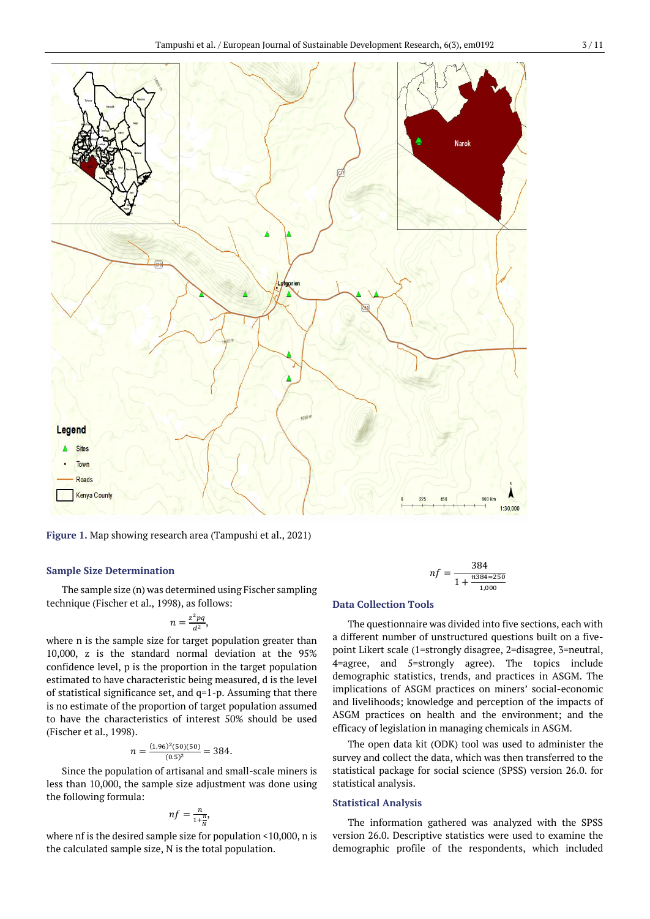

**Figure 1.** Map showing research area (Tampushi et al., 2021)

## **Sample Size Determination**

The sample size (n) was determined using Fischer sampling technique (Fischer et al., 1998), as follows:

$$
n=\frac{z^2pq}{d^2},
$$

where n is the sample size for target population greater than 10,000, z is the standard normal deviation at the 95% confidence level, p is the proportion in the target population estimated to have characteristic being measured, d is the level of statistical significance set, and q=1-p. Assuming that there is no estimate of the proportion of target population assumed to have the characteristics of interest 50% should be used (Fischer et al., 1998).

$$
n = \frac{(1.96)^2 (50)(50)}{(0.5)^2} = 384.
$$

Since the population of artisanal and small-scale miners is less than 10,000, the sample size adjustment was done using the following formula:

$$
nf = \frac{n}{1 + \frac{n}{N}},
$$

where nf is the desired sample size for population <10,000, n is the calculated sample size, N is the total population.

$$
nf = \frac{384}{1 + \frac{n384 = 250}{1,000}}
$$

## **Data Collection Tools**

The questionnaire was divided into five sections, each with a different number of unstructured questions built on a fivepoint Likert scale (1=strongly disagree, 2=disagree, 3=neutral, 4=agree, and 5=strongly agree). The topics include demographic statistics, trends, and practices in ASGM. The implications of ASGM practices on miners' social-economic and livelihoods; knowledge and perception of the impacts of ASGM practices on health and the environment; and the efficacy of legislation in managing chemicals in ASGM.

The open data kit (ODK) tool was used to administer the survey and collect the data, which was then transferred to the statistical package for social science (SPSS) version 26.0. for statistical analysis.

## **Statistical Analysis**

The information gathered was analyzed with the SPSS version 26.0. Descriptive statistics were used to examine the demographic profile of the respondents, which included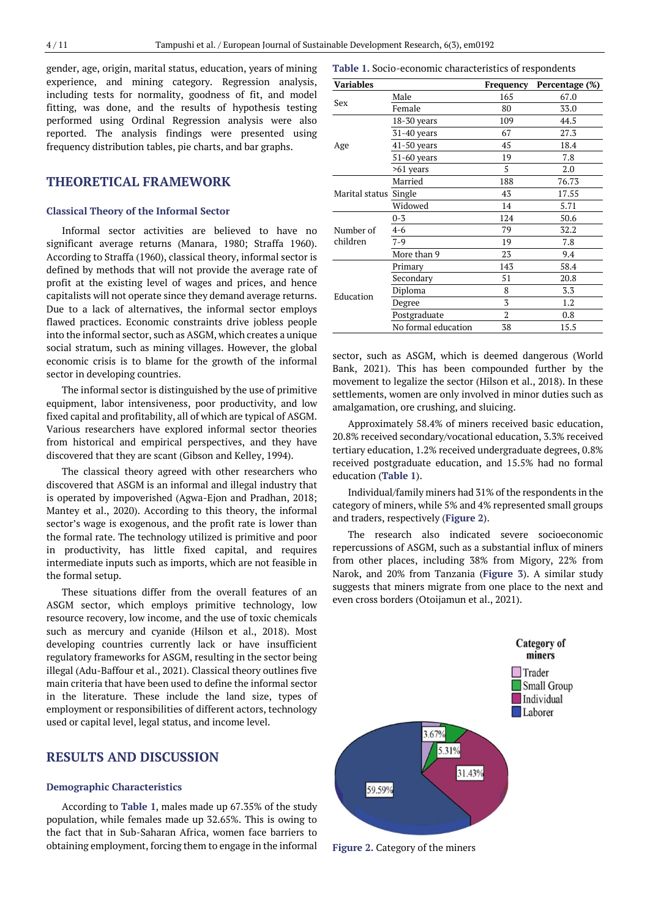gender, age, origin, marital status, education, years of mining experience, and mining category. Regression analysis, including tests for normality, goodness of fit, and model fitting, was done, and the results of hypothesis testing performed using Ordinal Regression analysis were also reported. The analysis findings were presented using frequency distribution tables, pie charts, and bar graphs.

# **THEORETICAL FRAMEWORK**

#### **Classical Theory of the Informal Sector**

Informal sector activities are believed to have no significant average returns (Manara, 1980; Straffa 1960). According to Straffa (1960), classical theory, informal sector is defined by methods that will not provide the average rate of profit at the existing level of wages and prices, and hence capitalists will not operate since they demand average returns. Due to a lack of alternatives, the informal sector employs flawed practices. Economic constraints drive jobless people into the informal sector, such as ASGM, which creates a unique social stratum, such as mining villages. However, the global economic crisis is to blame for the growth of the informal sector in developing countries.

The informal sector is distinguished by the use of primitive equipment, labor intensiveness, poor productivity, and low fixed capital and profitability, all of which are typical of ASGM. Various researchers have explored informal sector theories from historical and empirical perspectives, and they have discovered that they are scant (Gibson and Kelley, 1994).

The classical theory agreed with other researchers who discovered that ASGM is an informal and illegal industry that is operated by impoverished (Agwa-Ejon and Pradhan, 2018; Mantey et al., 2020). According to this theory, the informal sector's wage is exogenous, and the profit rate is lower than the formal rate. The technology utilized is primitive and poor in productivity, has little fixed capital, and requires intermediate inputs such as imports, which are not feasible in the formal setup.

These situations differ from the overall features of an ASGM sector, which employs primitive technology, low resource recovery, low income, and the use of toxic chemicals such as mercury and cyanide (Hilson et al., 2018). Most developing countries currently lack or have insufficient regulatory frameworks for ASGM, resulting in the sector being illegal (Adu-Baffour et al., 2021). Classical theory outlines five main criteria that have been used to define the informal sector in the literature. These include the land size, types of employment or responsibilities of different actors, technology used or capital level, legal status, and income level.

# **RESULTS AND DISCUSSION**

# **Demographic Characteristics**

According to **Table 1**, males made up 67.35% of the study population, while females made up 32.65%. This is owing to the fact that in Sub-Saharan Africa, women face barriers to obtaining employment, forcing them to engage in the informal

| <b>Variables</b> |                     | Frequency      | Percentage (%) |
|------------------|---------------------|----------------|----------------|
|                  | Male                | 165            | 67.0           |
| Sex              | Female              | 80             | 33.0           |
|                  | $18-30$ years       | 109            | 44.5           |
|                  | 31-40 years         | 67             | 27.3           |
| Age              | 41-50 years         | 45             | 18.4           |
|                  | 51-60 years         | 19             | 7.8            |
|                  | >61 years           | 5              | 2.0            |
|                  | Married             | 188            | 76.73          |
| Marital status   | Single              | 43             | 17.55          |
|                  | Widowed             | 14             | 5.71           |
|                  | $0 - 3$             | 124            | 50.6           |
| Number of        | $4 - 6$             | 79             | 32.2           |
| children         | $7-9$               | 19             | 7.8            |
|                  | More than 9         | 23             | 9.4            |
|                  | Primary             | 143            | 58.4           |
| Education        | Secondary           | 51             | 20.8           |
|                  | Diploma             | 8              | 3.3            |
|                  | Degree              | 3              | 1.2            |
|                  | Postgraduate        | $\overline{2}$ | 0.8            |
|                  | No formal education | 38             | 15.5           |

sector, such as ASGM, which is deemed dangerous (World Bank, 2021). This has been compounded further by the movement to legalize the sector (Hilson et al., 2018). In these settlements, women are only involved in minor duties such as amalgamation, ore crushing, and sluicing.

Approximately 58.4% of miners received basic education, 20.8% received secondary/vocational education, 3.3% received tertiary education, 1.2% received undergraduate degrees, 0.8% received postgraduate education, and 15.5% had no formal education (**Table 1**).

Individual/family miners had 31% of the respondents in the category of miners, while 5% and 4% represented small groups and traders, respectively (**Figure 2**).

The research also indicated severe socioeconomic repercussions of ASGM, such as a substantial influx of miners from other places, including 38% from Migory, 22% from Narok, and 20% from Tanzania (**Figure 3**). A similar study suggests that miners migrate from one place to the next and even cross borders (Otoijamun et al., 2021).



**Figure 2.** Category of the miners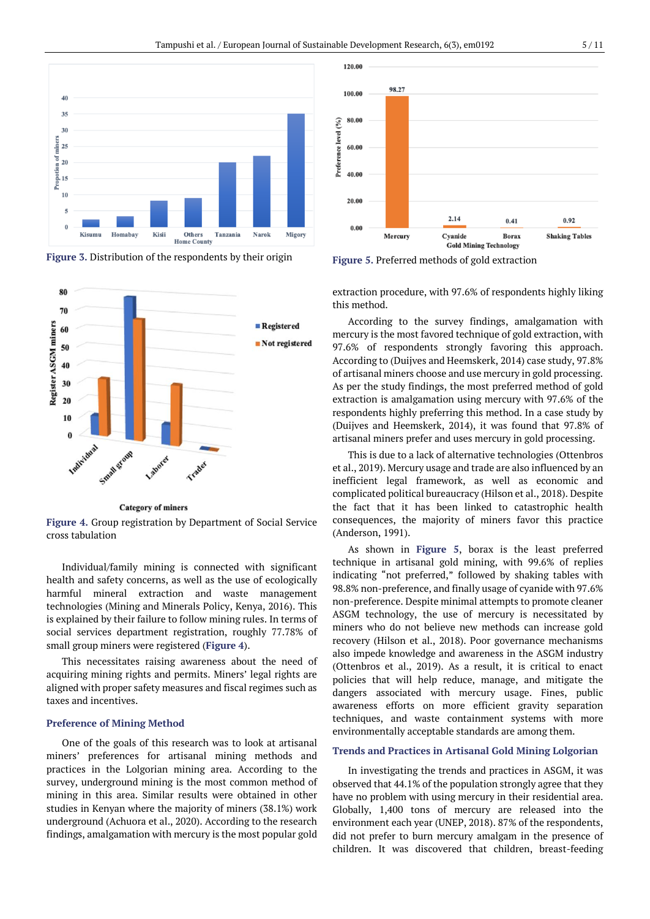

**Figure 3.** Distribution of the respondents by their origin



**Category of miners** 

**Figure 4.** Group registration by Department of Social Service cross tabulation

Individual/family mining is connected with significant health and safety concerns, as well as the use of ecologically harmful mineral extraction and waste management technologies (Mining and Minerals Policy, Kenya, 2016). This is explained by their failure to follow mining rules. In terms of social services department registration, roughly 77.78% of small group miners were registered (**Figure 4**).

This necessitates raising awareness about the need of acquiring mining rights and permits. Miners' legal rights are aligned with proper safety measures and fiscal regimes such as taxes and incentives.

#### **Preference of Mining Method**

One of the goals of this research was to look at artisanal miners' preferences for artisanal mining methods and practices in the Lolgorian mining area. According to the survey, underground mining is the most common method of mining in this area. Similar results were obtained in other studies in Kenyan where the majority of miners (38.1%) work underground (Achuora et al., 2020). According to the research findings, amalgamation with mercury is the most popular gold



**Figure 5.** Preferred methods of gold extraction

extraction procedure, with 97.6% of respondents highly liking this method.

According to the survey findings, amalgamation with mercury is the most favored technique of gold extraction, with 97.6% of respondents strongly favoring this approach. According to (Duijves and Heemskerk, 2014) case study, 97.8% of artisanal miners choose and use mercury in gold processing. As per the study findings, the most preferred method of gold extraction is amalgamation using mercury with 97.6% of the respondents highly preferring this method. In a case study by (Duijves and Heemskerk, 2014), it was found that 97.8% of artisanal miners prefer and uses mercury in gold processing.

This is due to a lack of alternative technologies (Ottenbros et al., 2019). Mercury usage and trade are also influenced by an inefficient legal framework, as well as economic and complicated political bureaucracy (Hilson et al., 2018). Despite the fact that it has been linked to catastrophic health consequences, the majority of miners favor this practice (Anderson, 1991).

As shown in **Figure 5**, borax is the least preferred technique in artisanal gold mining, with 99.6% of replies indicating "not preferred," followed by shaking tables with 98.8% non-preference, and finally usage of cyanide with 97.6% non-preference. Despite minimal attempts to promote cleaner ASGM technology, the use of mercury is necessitated by miners who do not believe new methods can increase gold recovery (Hilson et al., 2018). Poor governance mechanisms also impede knowledge and awareness in the ASGM industry (Ottenbros et al., 2019). As a result, it is critical to enact policies that will help reduce, manage, and mitigate the dangers associated with mercury usage. Fines, public awareness efforts on more efficient gravity separation techniques, and waste containment systems with more environmentally acceptable standards are among them.

# **Trends and Practices in Artisanal Gold Mining Lolgorian**

In investigating the trends and practices in ASGM, it was observed that 44.1% of the population strongly agree that they have no problem with using mercury in their residential area. Globally, 1,400 tons of mercury are released into the environment each year (UNEP, 2018). 87% of the respondents, did not prefer to burn mercury amalgam in the presence of children. It was discovered that children, breast-feeding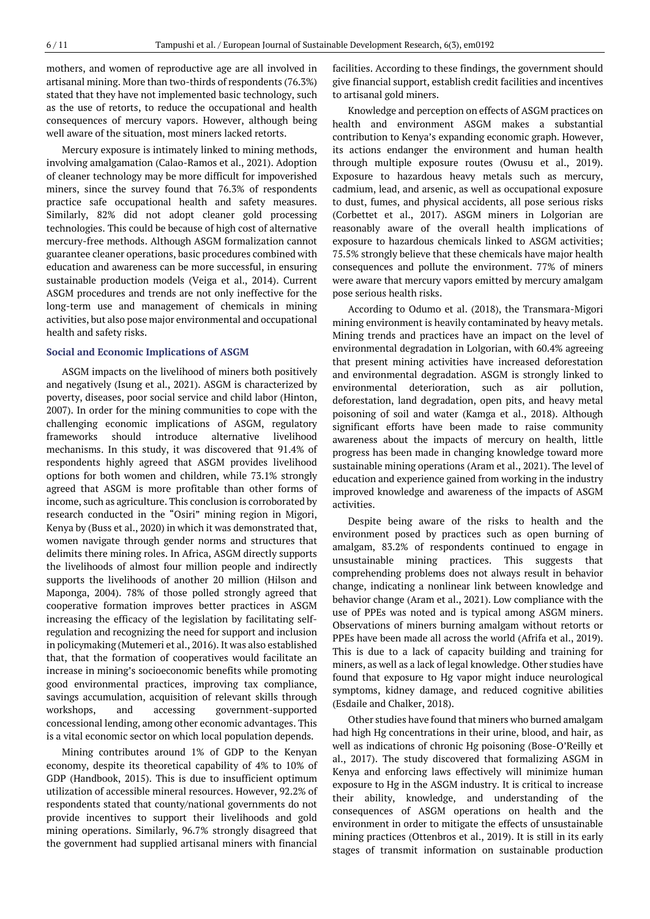mothers, and women of reproductive age are all involved in artisanal mining. More than two-thirds ofrespondents (76.3%) stated that they have not implemented basic technology, such as the use of retorts, to reduce the occupational and health consequences of mercury vapors. However, although being well aware of the situation, most miners lacked retorts.

Mercury exposure is intimately linked to mining methods, involving amalgamation (Calao-Ramos et al., 2021). Adoption of cleaner technology may be more difficult for impoverished miners, since the survey found that 76.3% of respondents practice safe occupational health and safety measures. Similarly, 82% did not adopt cleaner gold processing technologies. This could be because of high cost of alternative mercury-free methods. Although ASGM formalization cannot guarantee cleaner operations, basic procedures combined with education and awareness can be more successful, in ensuring sustainable production models (Veiga et al., 2014). Current ASGM procedures and trends are not only ineffective for the long-term use and management of chemicals in mining activities, but also pose major environmental and occupational health and safety risks.

## **Social and Economic Implications of ASGM**

ASGM impacts on the livelihood of miners both positively and negatively (Isung et al., 2021). ASGM is characterized by poverty, diseases, poor social service and child labor (Hinton, 2007). In order for the mining communities to cope with the challenging economic implications of ASGM, regulatory frameworks should introduce alternative livelihood mechanisms. In this study, it was discovered that 91.4% of respondents highly agreed that ASGM provides livelihood options for both women and children, while 73.1% strongly agreed that ASGM is more profitable than other forms of income, such as agriculture. This conclusion is corroborated by research conducted in the "Osiri" mining region in Migori, Kenya by (Buss et al., 2020) in which it was demonstrated that, women navigate through gender norms and structures that delimits there mining roles. In Africa, ASGM directly supports the livelihoods of almost four million people and indirectly supports the livelihoods of another 20 million (Hilson and Maponga, 2004). 78% of those polled strongly agreed that cooperative formation improves better practices in ASGM increasing the efficacy of the legislation by facilitating selfregulation and recognizing the need for support and inclusion in policymaking (Mutemeri et al., 2016). It was also established that, that the formation of cooperatives would facilitate an increase in mining's socioeconomic benefits while promoting good environmental practices, improving tax compliance, savings accumulation, acquisition of relevant skills through workshops, and accessing government-supported concessional lending, among other economic advantages. This is a vital economic sector on which local population depends.

Mining contributes around 1% of GDP to the Kenyan economy, despite its theoretical capability of 4% to 10% of GDP (Handbook, 2015). This is due to insufficient optimum utilization of accessible mineral resources. However, 92.2% of respondents stated that county/national governments do not provide incentives to support their livelihoods and gold mining operations. Similarly, 96.7% strongly disagreed that the government had supplied artisanal miners with financial

facilities. According to these findings, the government should give financial support, establish credit facilities and incentives to artisanal gold miners.

Knowledge and perception on effects of ASGM practices on health and environment ASGM makes a substantial contribution to Kenya's expanding economic graph. However, its actions endanger the environment and human health through multiple exposure routes (Owusu et al., 2019). Exposure to hazardous heavy metals such as mercury, cadmium, lead, and arsenic, as well as occupational exposure to dust, fumes, and physical accidents, all pose serious risks (Corbettet et al., 2017). ASGM miners in Lolgorian are reasonably aware of the overall health implications of exposure to hazardous chemicals linked to ASGM activities; 75.5% strongly believe that these chemicals have major health consequences and pollute the environment. 77% of miners were aware that mercury vapors emitted by mercury amalgam pose serious health risks.

According to Odumo et al. (2018), the Transmara-Migori mining environment is heavily contaminated by heavy metals. Mining trends and practices have an impact on the level of environmental degradation in Lolgorian, with 60.4% agreeing that present mining activities have increased deforestation and environmental degradation. ASGM is strongly linked to environmental deterioration, such as air pollution, deforestation, land degradation, open pits, and heavy metal poisoning of soil and water (Kamga et al., 2018). Although significant efforts have been made to raise community awareness about the impacts of mercury on health, little progress has been made in changing knowledge toward more sustainable mining operations (Aram et al., 2021). The level of education and experience gained from working in the industry improved knowledge and awareness of the impacts of ASGM activities.

Despite being aware of the risks to health and the environment posed by practices such as open burning of amalgam, 83.2% of respondents continued to engage in unsustainable mining practices. This suggests that comprehending problems does not always result in behavior change, indicating a nonlinear link between knowledge and behavior change (Aram et al., 2021). Low compliance with the use of PPEs was noted and is typical among ASGM miners. Observations of miners burning amalgam without retorts or PPEs have been made all across the world (Afrifa et al., 2019). This is due to a lack of capacity building and training for miners, as well as a lack of legal knowledge. Other studies have found that exposure to Hg vapor might induce neurological symptoms, kidney damage, and reduced cognitive abilities (Esdaile and Chalker, 2018).

Other studies have found that miners who burned amalgam had high Hg concentrations in their urine, blood, and hair, as well as indications of chronic Hg poisoning (Bose-O'Reilly et al., 2017). The study discovered that formalizing ASGM in Kenya and enforcing laws effectively will minimize human exposure to Hg in the ASGM industry. It is critical to increase their ability, knowledge, and understanding of the consequences of ASGM operations on health and the environment in order to mitigate the effects of unsustainable mining practices (Ottenbros et al., 2019). It is still in its early stages of transmit information on sustainable production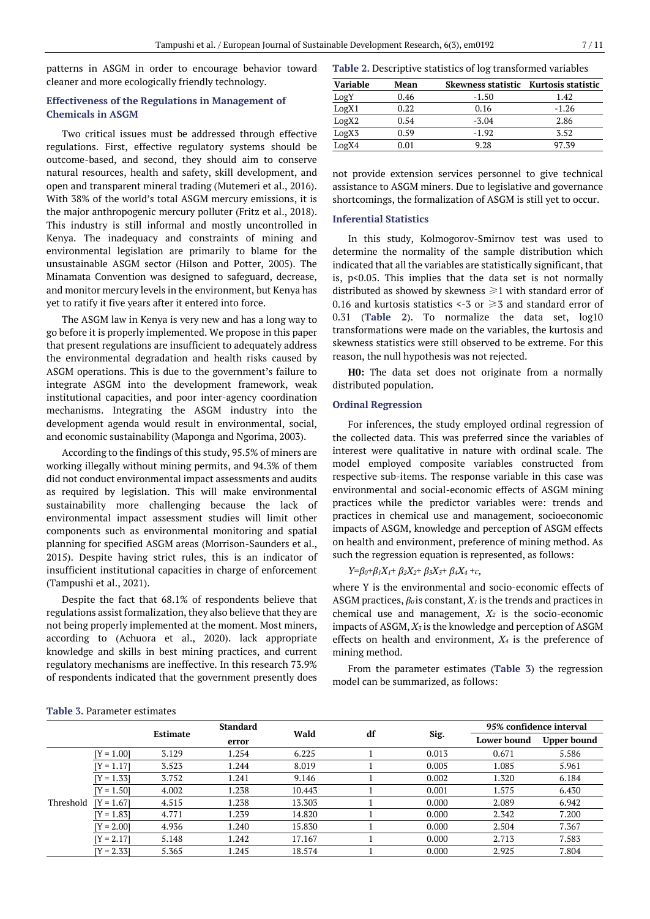patterns in ASGM in order to encourage behavior toward cleaner and more ecologically friendly technology.

# **Effectiveness of the Regulations in Management of Chemicals in ASGM**

Two critical issues must be addressed through effective regulations. First, effective regulatory systems should be outcome-based, and second, they should aim to conserve natural resources, health and safety, skill development, and open and transparent mineral trading (Mutemeri et al., 2016). With 38% of the world's total ASGM mercury emissions, it is the major anthropogenic mercury polluter (Fritz et al., 2018). This industry is still informal and mostly uncontrolled in Kenya. The inadequacy and constraints of mining and environmental legislation are primarily to blame for the unsustainable ASGM sector (Hilson and Potter, 2005). The Minamata Convention was designed to safeguard, decrease, and monitor mercury levels in the environment, but Kenya has yet to ratify it five years after it entered into force.

The ASGM law in Kenya is very new and has a long way to go before it is properly implemented. We propose in this paper that present regulations are insufficient to adequately address the environmental degradation and health risks caused by ASGM operations. This is due to the government's failure to integrate ASGM into the development framework, weak institutional capacities, and poor inter-agency coordination mechanisms. Integrating the ASGM industry into the development agenda would result in environmental, social, and economic sustainability (Maponga and Ngorima, 2003).

According to the findings of this study, 95.5% of miners are working illegally without mining permits, and 94.3% of them did not conduct environmental impact assessments and audits as required by legislation. This will make environmental sustainability more challenging because the lack of environmental impact assessment studies will limit other components such as environmental monitoring and spatial planning for specified ASGM areas (Morrison-Saunders et al., 2015). Despite having strict rules, this is an indicator of insufficient institutional capacities in charge of enforcement (Tampushi et al., 2021).

Despite the fact that 68.1% of respondents believe that regulations assist formalization, they also believe that they are not being properly implemented at the moment. Most miners, according to (Achuora et al., 2020). lack appropriate knowledge and skills in best mining practices, and current regulatory mechanisms are ineffective. In this research 73.9% of respondents indicated that the government presently does

**Table 2.** Descriptive statistics of log transformed variables

| Variable          | Mean | Skewness statistic Kurtosis statistic |         |
|-------------------|------|---------------------------------------|---------|
| <b>LogY</b>       | 0.46 | $-1.50$                               | 1.42    |
| LogX1             | 0.22 | 0.16                                  | $-1.26$ |
| LogX2             | 0.54 | $-3.04$                               | 2.86    |
| LogX <sub>3</sub> | 0.59 | $-1.92$                               | 3.52    |
| LogX4             | 0.O1 | 9.28                                  | 97.39   |

not provide extension services personnel to give technical assistance to ASGM miners. Due to legislative and governance shortcomings, the formalization of ASGM is still yet to occur.

## **Inferential Statistics**

In this study, Kolmogorov-Smirnov test was used to determine the normality of the sample distribution which indicated that all the variables are statistically significant, that is, p<0.05. This implies that the data set is not normally distributed as showed by skewness  $\geq 1$  with standard error of 0.16 and kurtosis statistics <-3 or  $\geq$ 3 and standard error of 0.31 (**Table 2**). To normalize the data set, log10 transformations were made on the variables, the kurtosis and skewness statistics were still observed to be extreme. For this reason, the null hypothesis was not rejected.

**H0:** The data set does not originate from a normally distributed population.

## **Ordinal Regression**

For inferences, the study employed ordinal regression of the collected data. This was preferred since the variables of interest were qualitative in nature with ordinal scale. The model employed composite variables constructed from respective sub-items. The response variable in this case was environmental and social-economic effects of ASGM mining practices while the predictor variables were: trends and practices in chemical use and management, socioeconomic impacts of ASGM, knowledge and perception of ASGM effects on health and environment, preference of mining method. As such the regression equation is represented, as follows:

$$
Y=\beta_0+\beta_1X_1+\beta_2X_2+\beta_3X_3+\beta_4X_4+\varepsilon,
$$

where Y is the environmental and socio-economic effects of ASGM practices, *β<sup>0</sup>* is constant, *X<sup>1</sup>* is the trends and practices in chemical use and management, *X<sup>2</sup>* is the socio-economic impacts of ASGM, *X<sup>3</sup>* is the knowledge and perception of ASGM effects on health and environment, *X<sup>4</sup>* is the preference of mining method.

From the parameter estimates (**Table 3**) the regression model can be summarized, as follows:

| <b>Table 3. Parameter estimates</b> |
|-------------------------------------|
|                                     |

|           |              |                 | <b>Standard</b> |        |    |       | 95% confidence interval |                    |
|-----------|--------------|-----------------|-----------------|--------|----|-------|-------------------------|--------------------|
|           |              | <b>Estimate</b> | error           | Wald   | df | Sig.  | Lower bound             | <b>Upper bound</b> |
| Threshold | $[Y = 1.00]$ | 3.129           | 1.254           | 6.225  |    | 0.013 | 0.671                   | 5.586              |
|           | $[Y = 1.17]$ | 3.523           | 1.244           | 8.019  |    | 0.005 | 1.085                   | 5.961              |
|           | $[Y = 1.33]$ | 3.752           | 1.241           | 9.146  |    | 0.002 | 1.320                   | 6.184              |
|           | $[Y = 1.50]$ | 4.002           | 1.238           | 10.443 |    | 0.001 | 1.575                   | 6.430              |
|           | $[Y = 1.67]$ | 4.515           | 1.238           | 13.303 |    | 0.000 | 2.089                   | 6.942              |
|           | $[Y = 1.83]$ | 4.771           | 1.239           | 14.820 |    | 0.000 | 2.342                   | 7.200              |
|           | $[Y = 2.00]$ | 4.936           | 1.240           | 15.830 |    | 0.000 | 2.504                   | 7.367              |
|           | $[Y = 2.17]$ | 5.148           | 1.242           | 17.167 |    | 0.000 | 2.713                   | 7.583              |
|           | $[Y = 2.33]$ | 5.365           | 1.245           | 18.574 |    | 0.000 | 2.925                   | 7.804              |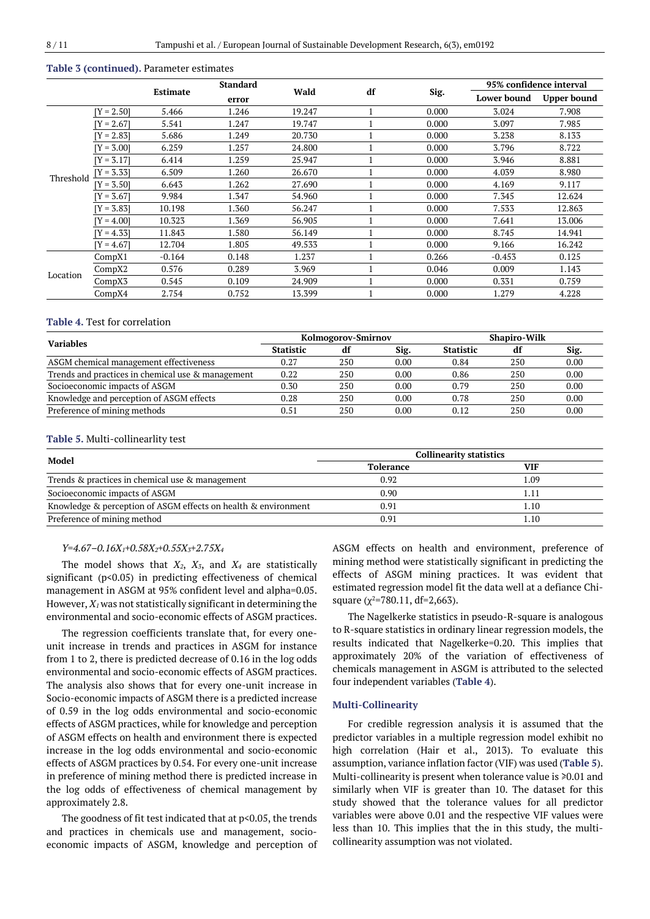# **Table 3 (continued).** Parameter estimates

|           |              |          | <b>Standard</b> |        |    |       | 95% confidence interval |                    |
|-----------|--------------|----------|-----------------|--------|----|-------|-------------------------|--------------------|
|           |              | Estimate | error           | Wald   | df | Sig.  | Lower bound             | <b>Upper bound</b> |
|           | $[Y = 2.50]$ | 5.466    | 1.246           | 19.247 |    | 0.000 | 3.024                   | 7.908              |
|           | $[Y = 2.67]$ | 5.541    | 1.247           | 19.747 |    | 0.000 | 3.097                   | 7.985              |
|           | $Y = 2.831$  | 5.686    | 1.249           | 20.730 |    | 0.000 | 3.238                   | 8.133              |
|           | $[Y = 3.00]$ | 6.259    | 1.257           | 24.800 |    | 0.000 | 3.796                   | 8.722              |
|           | $[Y = 3.17]$ | 6.414    | 1.259           | 25.947 |    | 0.000 | 3.946                   | 8.881              |
| Threshold | $[Y = 3.33]$ | 6.509    | 1.260           | 26.670 |    | 0.000 | 4.039                   | 8.980              |
|           | $[Y = 3.50]$ | 6.643    | 1.262           | 27.690 |    | 0.000 | 4.169                   | 9.117              |
|           | $Y = 3.671$  | 9.984    | 1.347           | 54.960 |    | 0.000 | 7.345                   | 12.624             |
|           | $Y = 3.83$   | 10.198   | 1.360           | 56.247 |    | 0.000 | 7.533                   | 12.863             |
|           | $Y = 4.001$  | 10.323   | 1.369           | 56.905 |    | 0.000 | 7.641                   | 13.006             |
|           | Y = 4.331    | 11.843   | 1.580           | 56.149 |    | 0.000 | 8.745                   | 14.941             |
|           | $[Y = 4.67]$ | 12.704   | 1.805           | 49.533 |    | 0.000 | 9.166                   | 16.242             |
| Location  | CompX1       | $-0.164$ | 0.148           | 1.237  |    | 0.266 | $-0.453$                | 0.125              |
|           | CompX2       | 0.576    | 0.289           | 3.969  |    | 0.046 | 0.009                   | 1.143              |
|           | CompX3       | 0.545    | 0.109           | 24.909 |    | 0.000 | 0.331                   | 0.759              |
|           | CompX4       | 2.754    | 0.752           | 13.399 |    | 0.000 | 1.279                   | 4.228              |

#### **Table 4.** Test for correlation

| <b>Variables</b>                                  | Kolmogorov-Smirnov |     |      |                  | <b>Shapiro-Wilk</b> |      |  |
|---------------------------------------------------|--------------------|-----|------|------------------|---------------------|------|--|
|                                                   | <b>Statistic</b>   | df  | Sig. | <b>Statistic</b> | df                  | Sig. |  |
| ASGM chemical management effectiveness            | 0.27               | 250 | 0.00 | 0.84             | 250                 | 0.00 |  |
| Trends and practices in chemical use & management | 0.22               | 250 | 0.00 | 0.86             | 250                 | 0.00 |  |
| Socioeconomic impacts of ASGM                     | 0.30               | 250 | 0.00 | 0.79             | 250                 | 0.00 |  |
| Knowledge and perception of ASGM effects          | 0.28               | 250 | 0.00 | 0.78             | 250                 | 0.00 |  |
| Preference of mining methods                      | $0.51\,$           | 250 | 0.00 | 0.12             | 250                 | 0.00 |  |

#### **Table 5.** Multi-collinearlity test

| Model                                                          | <b>Collinearity statistics</b> |     |  |  |
|----------------------------------------------------------------|--------------------------------|-----|--|--|
|                                                                | <b>Tolerance</b>               | VIF |  |  |
| Trends & practices in chemical use & management                | 0.92                           | .09 |  |  |
| Socioeconomic impacts of ASGM                                  | 0.90                           |     |  |  |
| Knowledge & perception of ASGM effects on health & environment | 0.91                           | .10 |  |  |
| Preference of mining method                                    | 0.91                           | .10 |  |  |

## *Y=4.67–0.16X1+0.58X2+0.55X3+2.75X<sup>4</sup>*

The model shows that *X2*, *X3*, and *X<sup>4</sup>* are statistically significant (p<0.05) in predicting effectiveness of chemical management in ASGM at 95% confident level and alpha=0.05. However,  $X_I$  was not statistically significant in determining the environmental and socio-economic effects of ASGM practices.

The regression coefficients translate that, for every oneunit increase in trends and practices in ASGM for instance from 1 to 2, there is predicted decrease of 0.16 in the log odds environmental and socio-economic effects of ASGM practices. The analysis also shows that for every one-unit increase in Socio-economic impacts of ASGM there is a predicted increase of 0.59 in the log odds environmental and socio-economic effects of ASGM practices, while for knowledge and perception of ASGM effects on health and environment there is expected increase in the log odds environmental and socio-economic effects of ASGM practices by 0.54. For every one-unit increase in preference of mining method there is predicted increase in the log odds of effectiveness of chemical management by approximately 2.8.

The goodness of fit test indicated that at  $p$ <0.05, the trends and practices in chemicals use and management, socioeconomic impacts of ASGM, knowledge and perception of ASGM effects on health and environment, preference of mining method were statistically significant in predicting the effects of ASGM mining practices. It was evident that estimated regression model fit the data well at a defiance Chisquare  $(\chi^2$ =780.11, df=2,663).

The Nagelkerke statistics in pseudo-R-square is analogous to R-square statistics in ordinary linear regression models, the results indicated that Nagelkerke=0.20. This implies that approximately 20% of the variation of effectiveness of chemicals management in ASGM is attributed to the selected four independent variables (**Table 4**).

## **Multi-Collinearity**

For credible regression analysis it is assumed that the predictor variables in a multiple regression model exhibit no high correlation (Hair et al., 2013). To evaluate this assumption, variance inflation factor(VIF) was used (**Table 5**). Multi-collinearity is present when tolerance value is ≥0.01 and similarly when VIF is greater than 10. The dataset for this study showed that the tolerance values for all predictor variables were above 0.01 and the respective VIF values were less than 10. This implies that the in this study, the multicollinearity assumption was not violated.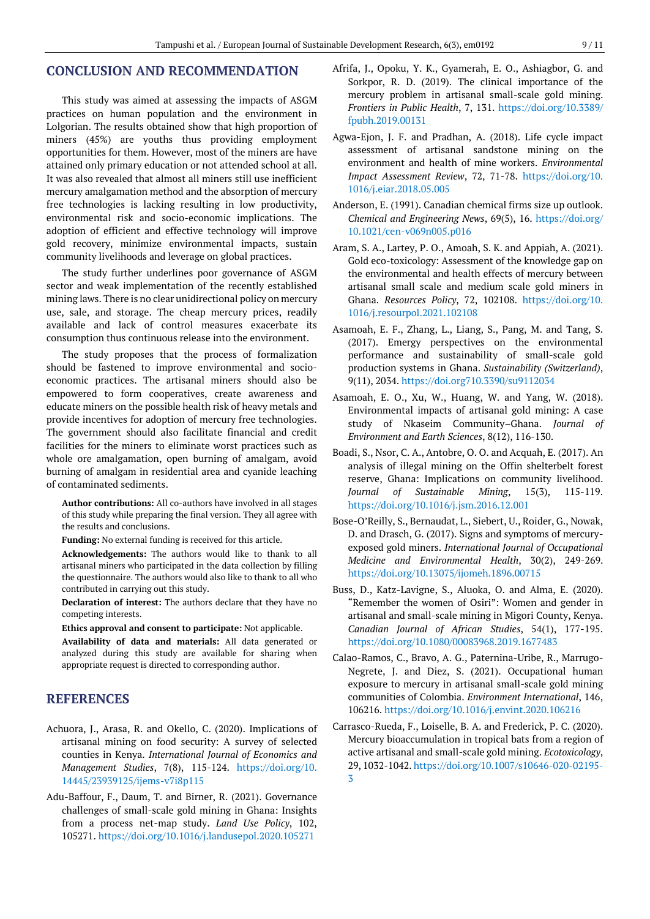# **CONCLUSION AND RECOMMENDATION**

This study was aimed at assessing the impacts of ASGM practices on human population and the environment in Lolgorian. The results obtained show that high proportion of miners (45%) are youths thus providing employment opportunities for them. However, most of the miners are have attained only primary education or not attended school at all. It was also revealed that almost all miners still use inefficient mercury amalgamation method and the absorption of mercury free technologies is lacking resulting in low productivity, environmental risk and socio-economic implications. The adoption of efficient and effective technology will improve gold recovery, minimize environmental impacts, sustain community livelihoods and leverage on global practices.

The study further underlines poor governance of ASGM sector and weak implementation of the recently established mining laws. There is no clear unidirectional policy on mercury use, sale, and storage. The cheap mercury prices, readily available and lack of control measures exacerbate its consumption thus continuous release into the environment.

The study proposes that the process of formalization should be fastened to improve environmental and socioeconomic practices. The artisanal miners should also be empowered to form cooperatives, create awareness and educate miners on the possible health risk of heavy metals and provide incentives for adoption of mercury free technologies. The government should also facilitate financial and credit facilities for the miners to eliminate worst practices such as whole ore amalgamation, open burning of amalgam, avoid burning of amalgam in residential area and cyanide leaching of contaminated sediments.

**Author contributions:** All co-authors have involved in all stages of this study while preparing the final version. They all agree with the results and conclusions.

**Funding:** No external funding is received for this article.

**Acknowledgements:** The authors would like to thank to all artisanal miners who participated in the data collection by filling the questionnaire. The authors would also like to thank to all who contributed in carrying out this study.

**Declaration of interest:** The authors declare that they have no competing interests.

**Ethics approval and consent to participate:** Not applicable.

**Availability of data and materials:** All data generated or analyzed during this study are available for sharing when appropriate request is directed to corresponding author.

# **REFERENCES**

- Achuora, J., Arasa, R. and Okello, C. (2020). Implications of artisanal mining on food security: A survey of selected counties in Kenya. *International Journal of Economics and Management Studies*, 7(8), 115-124. [https://doi.org/10.](https://doi.org/10.14445/23939125/ijems-v7i8p115) [14445/23939125/ijems-v7i8p115](https://doi.org/10.14445/23939125/ijems-v7i8p115)
- Adu-Baffour, F., Daum, T. and Birner, R. (2021). Governance challenges of small-scale gold mining in Ghana: Insights from a process net-map study. *Land Use Policy*, 102, 105271. <https://doi.org/10.1016/j.landusepol.2020.105271>
- Afrifa, J., Opoku, Y. K., Gyamerah, E. O., Ashiagbor, G. and Sorkpor, R. D. (2019). The clinical importance of the mercury problem in artisanal small-scale gold mining. *Frontiers in Public Health*, 7, 131. [https://doi.org/10.3389/](https://doi.org/10.3389/fpubh.2019.00131) [fpubh.2019.00131](https://doi.org/10.3389/fpubh.2019.00131)
- Agwa-Ejon, J. F. and Pradhan, A. (2018). Life cycle impact assessment of artisanal sandstone mining on the environment and health of mine workers. *Environmental Impact Assessment Review*, 72, 71-78. [https://doi.org/10.](https://doi.org/10.1016/j.eiar.2018.05.005) [1016/j.eiar.2018.05.005](https://doi.org/10.1016/j.eiar.2018.05.005)
- Anderson, E. (1991). Canadian chemical firms size up outlook. *Chemical and Engineering News*, 69(5), 16. [https://doi.org/](https://doi.org/10.1021/cen-v069n005.p016) [10.1021/cen-v069n005.p016](https://doi.org/10.1021/cen-v069n005.p016)
- Aram, S. A., Lartey, P. O., Amoah, S. K. and Appiah, A. (2021). Gold eco-toxicology: Assessment of the knowledge gap on the environmental and health effects of mercury between artisanal small scale and medium scale gold miners in Ghana. *Resources Policy*, 72, 102108. [https://doi.org/10.](https://doi.org/10.1016/j.resourpol.2021.102108) [1016/j.resourpol.2021.102108](https://doi.org/10.1016/j.resourpol.2021.102108)
- Asamoah, E. F., Zhang, L., Liang, S., Pang, M. and Tang, S. (2017). Emergy perspectives on the environmental performance and sustainability of small-scale gold production systems in Ghana. *Sustainability (Switzerland)*, 9(11), 2034. <https://doi.org710.3390/su9112034>
- Asamoah, E. O., Xu, W., Huang, W. and Yang, W. (2018). Environmental impacts of artisanal gold mining: A case study of Nkaseim Community–Ghana. *Journal of Environment and Earth Sciences*, 8(12), 116-130.
- Boadi, S., Nsor, C. A., Antobre, O. O. and Acquah, E. (2017). An analysis of illegal mining on the Offin shelterbelt forest reserve, Ghana: Implications on community livelihood. *Journal of Sustainable Mining*, 15(3), 115-119. <https://doi.org/10.1016/j.jsm.2016.12.001>
- Bose-O'Reilly, S., Bernaudat, L., Siebert, U., Roider, G., Nowak, D. and Drasch, G. (2017). Signs and symptoms of mercuryexposed gold miners. *International Journal of Occupational Medicine and Environmental Health*, 30(2), 249-269. <https://doi.org/10.13075/ijomeh.1896.00715>
- Buss, D., Katz-Lavigne, S., Aluoka, O. and Alma, E. (2020). "Remember the women of Osiri": Women and gender in artisanal and small-scale mining in Migori County, Kenya. *Canadian Journal of African Studies*, 54(1), 177-195. <https://doi.org/10.1080/00083968.2019.1677483>
- Calao-Ramos, C., Bravo, A. G., Paternina-Uribe, R., Marrugo-Negrete, J. and Diez, S. (2021). Occupational human exposure to mercury in artisanal small-scale gold mining communities of Colombia. *Environment International*, 146, 106216. <https://doi.org/10.1016/j.envint.2020.106216>
- Carrasco-Rueda, F., Loiselle, B. A. and Frederick, P. C. (2020). Mercury bioaccumulation in tropical bats from a region of active artisanal and small-scale gold mining. *Ecotoxicology*, 29, 1032-1042. [https://doi.org/10.1007/s10646-020-02195-](https://doi.org/10.1007/s10646-020-02195-3) [3](https://doi.org/10.1007/s10646-020-02195-3)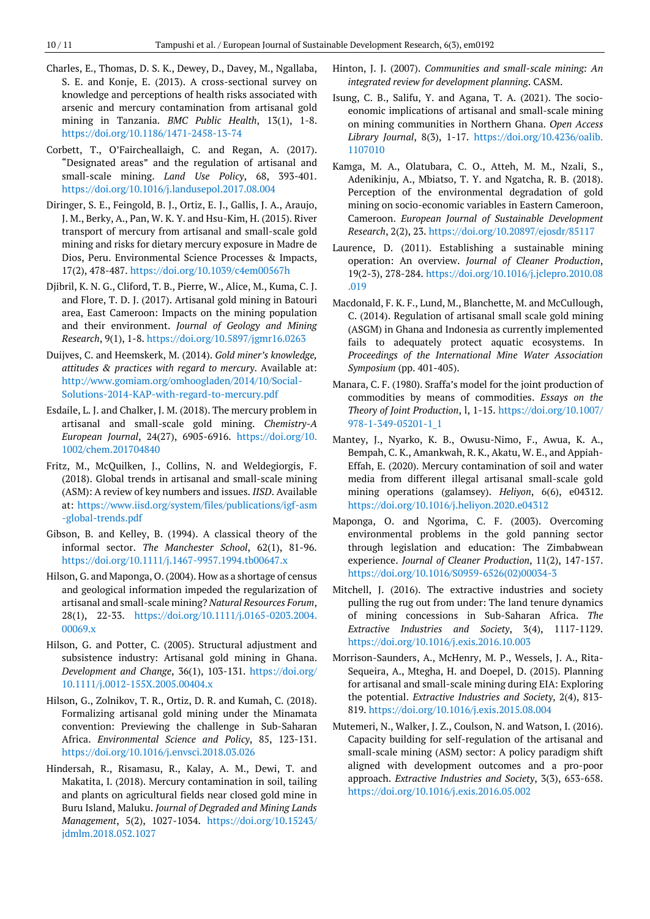- Charles, E., Thomas, D. S. K., Dewey, D., Davey, M., Ngallaba, S. E. and Konje, E. (2013). A cross-sectional survey on knowledge and perceptions of health risks associated with arsenic and mercury contamination from artisanal gold mining in Tanzania. *BMC Public Health*, 13(1), 1-8. <https://doi.org/10.1186/1471-2458-13-74>
- Corbett, T., O'Faircheallaigh, C. and Regan, A. (2017). "Designated areas" and the regulation of artisanal and small-scale mining. *Land Use Policy*, 68, 393-401. <https://doi.org/10.1016/j.landusepol.2017.08.004>
- Diringer, S. E., Feingold, B. J., Ortiz, E. J., Gallis, J. A., Araujo, J. M., Berky, A., Pan, W. K. Y. and Hsu-Kim, H. (2015). River transport of mercury from artisanal and small-scale gold mining and risks for dietary mercury exposure in Madre de Dios, Peru. Environmental Science Processes & Impacts, 17(2), 478-487. <https://doi.org/10.1039/c4em00567h>
- Djibril, K. N. G., Cliford, T. B., Pierre, W., Alice, M., Kuma, C. J. and Flore, T. D. J. (2017). Artisanal gold mining in Batouri area, East Cameroon: Impacts on the mining population and their environment. *Journal of Geology and Mining Research*, 9(1), 1-8. <https://doi.org/10.5897/jgmr16.0263>
- Duijves, C. and Heemskerk, M. (2014). *Gold miner's knowledge, attitudes & practices with regard to mercury*. Available at: [http://www.gomiam.org/omhoogladen/2014/10/Social-](http://www.gomiam.org/omhoogladen/2014/10/Social-Solutions-2014-KAP-with-regard-to-mercury.pdf)[Solutions-2014-KAP-with-regard-to-mercury.pdf](http://www.gomiam.org/omhoogladen/2014/10/Social-Solutions-2014-KAP-with-regard-to-mercury.pdf)
- Esdaile, L. J. and Chalker, J. M. (2018). The mercury problem in artisanal and small-scale gold mining. *Chemistry-A European Journal*, 24(27), 6905-6916. [https://doi.org/10.](https://doi.org/10.1002/chem.201704840) [1002/chem.201704840](https://doi.org/10.1002/chem.201704840)
- Fritz, M., McQuilken, J., Collins, N. and Weldegiorgis, F. (2018). Global trends in artisanal and small-scale mining (ASM): A review of key numbers and issues. *IISD*. Available at: [https://www.iisd.org/system/files/publications/igf-asm](https://www.iisd.org/system/files/publications/igf-asm-global-trends.pdf) [-global-trends.pdf](https://www.iisd.org/system/files/publications/igf-asm-global-trends.pdf)
- Gibson, B. and Kelley, B. (1994). A classical theory of the informal sector. *The Manchester School*, 62(1), 81-96. <https://doi.org/10.1111/j.1467-9957.1994.tb00647.x>
- Hilson, G. and Maponga, O. (2004). How as a shortage of census and geological information impeded the regularization of artisanal and small-scale mining? *Natural Resources Forum*, 28(1), 22-33. [https://doi.org/10.1111/j.0165-0203.2004.](https://doi.org/10.1111/j.0165-0203.2004.00069.x) [00069.x](https://doi.org/10.1111/j.0165-0203.2004.00069.x)
- Hilson, G. and Potter, C. (2005). Structural adjustment and subsistence industry: Artisanal gold mining in Ghana. *Development and Change*, 36(1), 103-131. [https://doi.org/](https://doi.org/10.1111/j.0012-155X.2005.00404.x) [10.1111/j.0012-155X.2005.00404.x](https://doi.org/10.1111/j.0012-155X.2005.00404.x)
- Hilson, G., Zolnikov, T. R., Ortiz, D. R. and Kumah, C. (2018). Formalizing artisanal gold mining under the Minamata convention: Previewing the challenge in Sub-Saharan Africa. *Environmental Science and Policy*, 85, 123-131. <https://doi.org/10.1016/j.envsci.2018.03.026>
- Hindersah, R., Risamasu, R., Kalay, A. M., Dewi, T. and Makatita, I. (2018). Mercury contamination in soil, tailing and plants on agricultural fields near closed gold mine in Buru Island, Maluku. *Journal of Degraded and Mining Lands Management*, 5(2), 1027-1034. [https://doi.org/10.15243/](https://doi.org/10.15243/jdmlm.2018.052.1027) [jdmlm.2018.052.1027](https://doi.org/10.15243/jdmlm.2018.052.1027)
- Hinton, J. J. (2007). *Communities and small-scale mining: An integrated review for development planning*. CASM.
- Isung, C. B., Salifu, Y. and Agana, T. A. (2021). The socioeonomic implications of artisanal and small-scale mining on mining communities in Northern Ghana. *Open Access Library Journal*, 8(3), 1-17. [https://doi.org/10.4236/oalib.](https://doi.org/10.4236/oalib.1107010) [1107010](https://doi.org/10.4236/oalib.1107010)
- Kamga, M. A., Olatubara, C. O., Atteh, M. M., Nzali, S., Adenikinju, A., Mbiatso, T. Y. and Ngatcha, R. B. (2018). Perception of the environmental degradation of gold mining on socio-economic variables in Eastern Cameroon, Cameroon. *European Journal of Sustainable Development Research*, 2(2), 23. <https://doi.org/10.20897/ejosdr/85117>
- Laurence, D. (2011). Establishing a sustainable mining operation: An overview. *Journal of Cleaner Production*, 19(2-3), 278-284. [https://doi.org/10.1016/j.jclepro.2010.08](https://doi.org/10.1016/j.jclepro.2010.08.019) [.019](https://doi.org/10.1016/j.jclepro.2010.08.019)
- Macdonald, F. K. F., Lund, M., Blanchette, M. and McCullough, C. (2014). Regulation of artisanal small scale gold mining (ASGM) in Ghana and Indonesia as currently implemented fails to adequately protect aquatic ecosystems. In *Proceedings of the International Mine Water Association Symposium* (pp. 401-405).
- Manara, C. F. (1980). Sraffa's model for the joint production of commodities by means of commodities. *Essays on the Theory of Joint Production*, l, 1-15. [https://doi.org/10.1007/](https://doi.org/10.1007/978-1-349-05201-1_1) [978-1-349-05201-1\\_1](https://doi.org/10.1007/978-1-349-05201-1_1)
- Mantey, J., Nyarko, K. B., Owusu-Nimo, F., Awua, K. A., Bempah, C. K., Amankwah, R. K., Akatu, W. E., and Appiah-Effah, E. (2020). Mercury contamination of soil and water media from different illegal artisanal small-scale gold mining operations (galamsey). *Heliyon*, 6(6), e04312. <https://doi.org/10.1016/j.heliyon.2020.e04312>
- Maponga, O. and Ngorima, C. F. (2003). Overcoming environmental problems in the gold panning sector through legislation and education: The Zimbabwean experience. *Journal of Cleaner Production*, 11(2), 147-157. [https://doi.org/10.1016/S0959-6526\(02\)00034-3](https://doi.org/10.1016/S0959-6526(02)00034-3)
- Mitchell, J. (2016). The extractive industries and society pulling the rug out from under: The land tenure dynamics of mining concessions in Sub-Saharan Africa. *The Extractive Industries and Society*, 3(4), 1117-1129. <https://doi.org/10.1016/j.exis.2016.10.003>
- Morrison-Saunders, A., McHenry, M. P., Wessels, J. A., Rita-Sequeira, A., Mtegha, H. and Doepel, D. (2015). Planning for artisanal and small-scale mining during EIA: Exploring the potential. *Extractive Industries and Society*, 2(4), 813- 819. <https://doi.org/10.1016/j.exis.2015.08.004>
- Mutemeri, N., Walker, J. Z., Coulson, N. and Watson, I. (2016). Capacity building for self-regulation of the artisanal and small-scale mining (ASM) sector: A policy paradigm shift aligned with development outcomes and a pro-poor approach. *Extractive Industries and Society*, 3(3), 653-658. <https://doi.org/10.1016/j.exis.2016.05.002>